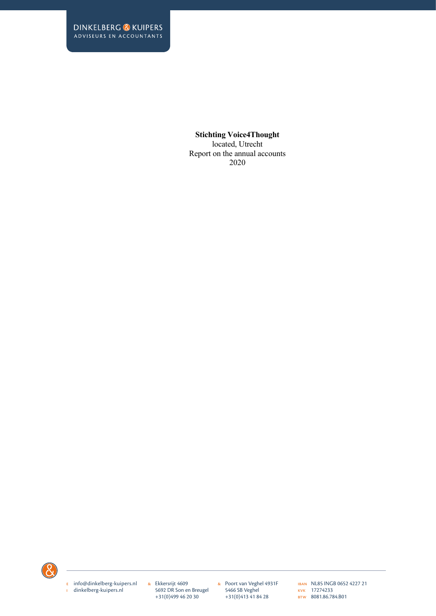located, Utrecht Report on the annual accounts 2020



e info@dinkelberg-kuipers.nl i dinkelberg-kuipers.nl

& Ekkersrijt 4609 5692 DR Son en Breugel +31(0)499 46 20 30

& Poort van Veghel 4931F 5466 SB Veghel +31(0)413 41 84 28

IBAN NL85 INGB 0652 4227 21 kvk 17274233 BTW 8081.86.784.B01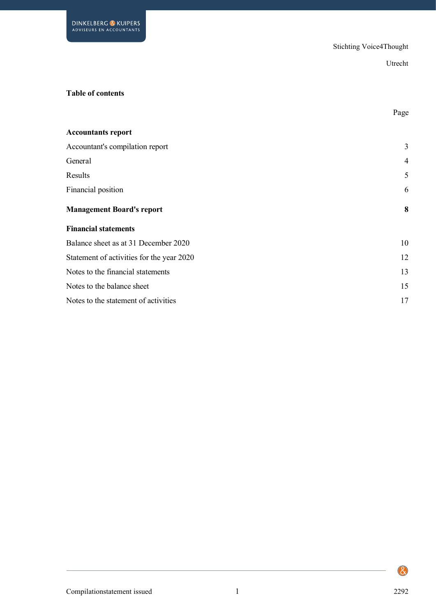### **Table of contents**

|                                           | Page           |
|-------------------------------------------|----------------|
| <b>Accountants report</b>                 |                |
| Accountant's compilation report           | 3              |
| General                                   | $\overline{4}$ |
| Results                                   | 5              |
| Financial position                        | 6              |
| <b>Management Board's report</b>          | 8              |
| <b>Financial statements</b>               |                |
| Balance sheet as at 31 December 2020      | 10             |
| Statement of activities for the year 2020 | 12             |
| Notes to the financial statements         | 13             |
| Notes to the balance sheet                | 15             |
| Notes to the statement of activities      | 17             |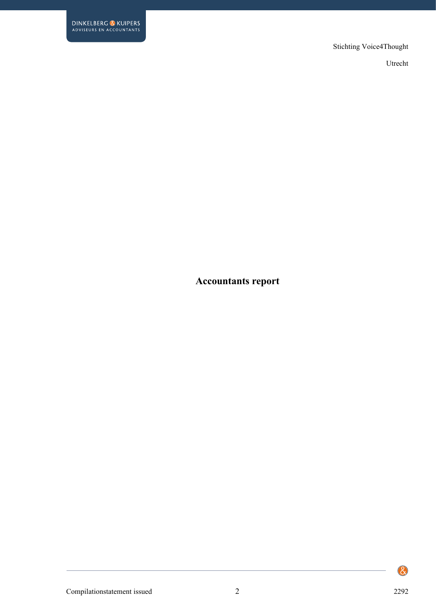Utrecht

# **Accountants report**

Compilationstatement issued 2 2292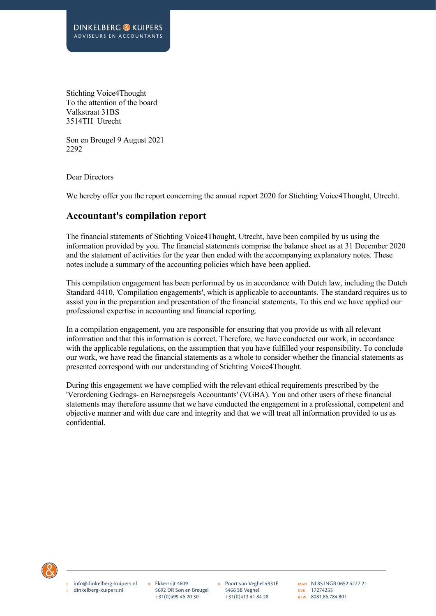Stichting Voice4Thought To the attention of the board Valkstraat 31BS 3514TH Utrecht

Son en Breugel 9 August 2021 2292

Dear Directors

We hereby offer you the report concerning the annual report 2020 for Stichting Voice4Thought, Utrecht.

## **Accountant's compilation report**

The financial statements of Stichting Voice4Thought, Utrecht, have been compiled by us using the information provided by you. The financial statements comprise the balance sheet as at 31 December 2020 and the statement of activities for the year then ended with the accompanying explanatory notes. These notes include a summary of the accounting policies which have been applied.

This compilation engagement has been performed by us in accordance with Dutch law, including the Dutch Standard 4410, 'Compilation engagements', which is applicable to accountants. The standard requires us to assist you in the preparation and presentation of the financial statements. To this end we have applied our professional expertise in accounting and financial reporting.

In a compilation engagement, you are responsible for ensuring that you provide us with all relevant information and that this information is correct. Therefore, we have conducted our work, in accordance with the applicable regulations, on the assumption that you have fulfilled your responsibility. To conclude our work, we have read the financial statements as a whole to consider whether the financial statements as presented correspond with our understanding of Stichting Voice4Thought.

During this engagement we have complied with the relevant ethical requirements prescribed by the 'Verordening Gedrags- en Beroepsregels Accountants' (VGBA). You and other users of these financial statements may therefore assume that we have conducted the engagement in a professional, competent and objective manner and with due care and integrity and that we will treat all information provided to us as confidential.



e info@dinkelberg-kuipers.nl i dinkelberg-kuipers.nl

& Ekkersrijt 4609 5692 DR Son en Breugel +31(0)499 46 20 30

& Poort van Veghel 4931F 5466 SB Veghel +31(0)413 41 84 28

IBAN NL85 INGB 0652 4227 21 kvk 17274233 BTW 8081.86.784.B01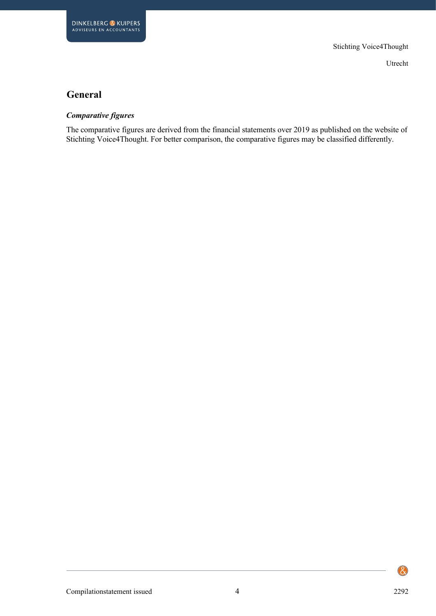# **General**

#### *Comparative figures*

The comparative figures are derived from the financial statements over 2019 as published on the website of Stichting Voice4Thought. For better comparison, the comparative figures may be classified differently.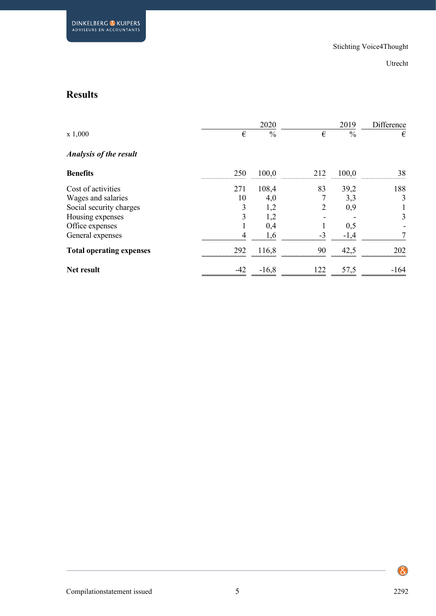# **Results**

|                                 |         | 2020          |        | 2019          | Difference |
|---------------------------------|---------|---------------|--------|---------------|------------|
| x 1,000                         | €       | $\frac{0}{0}$ | €      | $\frac{0}{0}$ | €          |
| <b>Analysis of the result</b>   |         |               |        |               |            |
| <b>Benefits</b>                 | 250     | 100,0         | 212    | 100,0         | 38         |
| Cost of activities              | 271     | 108,4         | 83     | 39,2          | 188        |
| Wages and salaries              | 10      | 4,0           |        | 3,3           | 3          |
| Social security charges         | 3       | 1,2           | 2      | 0,9           |            |
| Housing expenses                | 3       | 1,2           |        |               | 3          |
| Office expenses                 |         | 0,4           |        | 0,5           |            |
| General expenses                | 4       | 1,6           | $-3$   | $-1,4$        |            |
| <b>Total operating expenses</b> | 292<br> | 116,8         | 90<br> | 42,5          | 202<br>    |
| <b>Net result</b>               | -42     | $-16,8$       | 122    | 57,5          | $-164$     |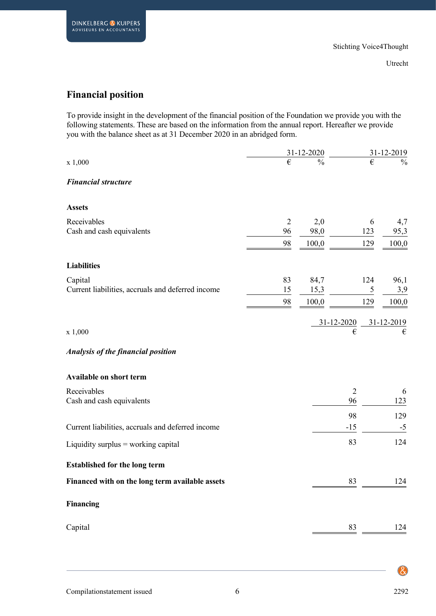# **Financial position**

To provide insight in the development of the financial position of the Foundation we provide you with the following statements. These are based on the information from the annual report. Hereafter we provide you with the balance sheet as at 31 December 2020 in an abridged form.

|                                                   |                      | 31-12-2020    |                | 31-12-2019    |
|---------------------------------------------------|----------------------|---------------|----------------|---------------|
| x 1,000                                           | €                    | $\frac{0}{0}$ | €              | $\frac{0}{0}$ |
| <b>Financial structure</b>                        |                      |               |                |               |
| <b>Assets</b>                                     |                      |               |                |               |
| Receivables<br>Cash and cash equivalents          | $\overline{2}$<br>96 | 2,0<br>98,0   | 6<br>123       | 4,7           |
|                                                   | 98                   | 100,0         | 129            | 95,3<br>100,0 |
| <b>Liabilities</b>                                |                      |               |                |               |
|                                                   |                      |               |                |               |
| Capital                                           | 83                   | 84,7          | 124            | 96,1          |
| Current liabilities, accruals and deferred income | 15<br>98             | 15,3<br>100,0 | 5<br>129       | 3,9<br>100,0  |
|                                                   |                      |               |                |               |
|                                                   |                      |               | 31-12-2020     | 31-12-2019    |
| x 1,000                                           |                      |               | €              | €             |
| Analysis of the financial position                |                      |               |                |               |
| <b>Available on short term</b>                    |                      |               |                |               |
| Receivables                                       |                      |               | $\overline{2}$ | 6             |
| Cash and cash equivalents                         |                      |               | 96             | 123           |
|                                                   |                      |               | 98             | 129           |
| Current liabilities, accruals and deferred income |                      |               | $-15$          | $-5$          |
| Liquidity surplus = working capital               |                      |               | 83             | 124           |
| <b>Established for the long term</b>              |                      |               |                |               |
| Financed with on the long term available assets   |                      |               | 83             | 124           |
| <b>Financing</b>                                  |                      |               |                |               |
| Capital                                           |                      |               |                | 124           |
|                                                   |                      |               |                |               |

 $\bigcircled{\mathcal{S}}$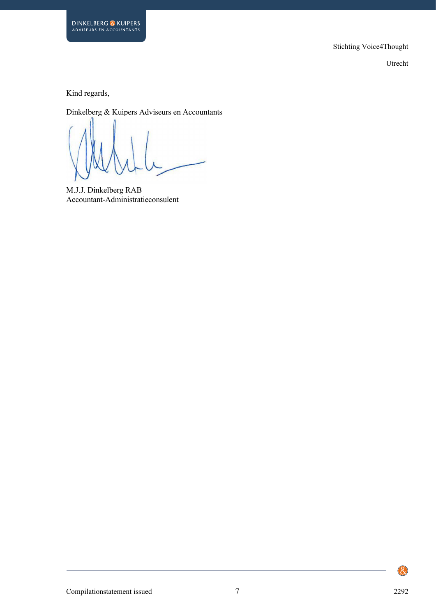

Kind regards,

**DINKELBERG & KUIPERS**<br>ADVISEURS EN ACCOUNTANTS

Dinkelberg & Kuipers Adviseurs en Accountants

M.J.J. Dinkelberg RAB Accountant-Administratieconsulent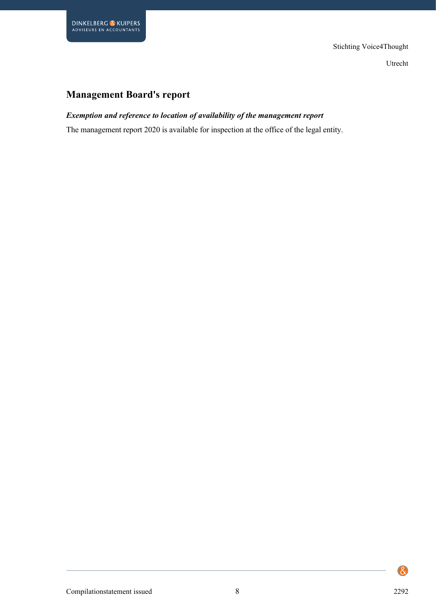# **Management Board's report**

### *Exemption and reference to location of availability of the management report*

The management report 2020 is available for inspection at the office of the legal entity.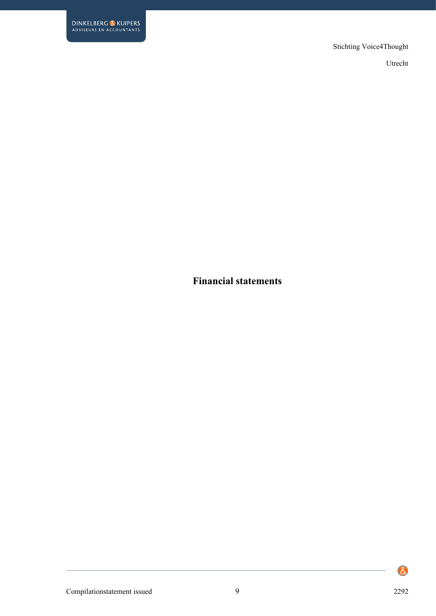Utrecht

**Financial statements**

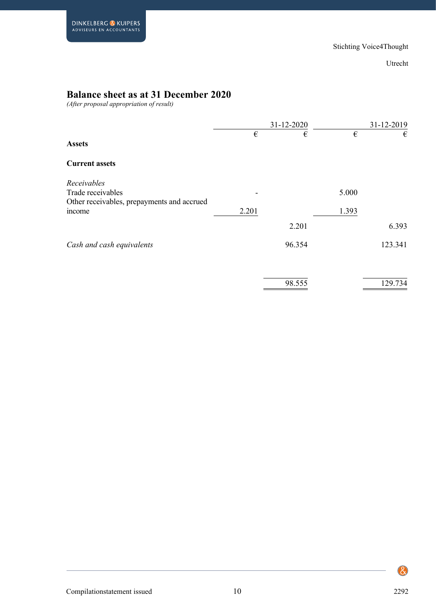# **Balance sheet as at 31 December 2020**

*(After proposal appropriation of result)*

|                                            |       | 31-12-2020 |       | 31-12-2019 |
|--------------------------------------------|-------|------------|-------|------------|
| <b>Assets</b>                              | €     | €          | €     | €          |
| <b>Current assets</b>                      |       |            |       |            |
| Receivables                                |       |            |       |            |
| Trade receivables                          |       |            | 5.000 |            |
| Other receivables, prepayments and accrued |       |            |       |            |
| income                                     | 2.201 |            | 1.393 |            |
|                                            |       | 2.201      |       | 6.393      |
| Cash and cash equivalents                  |       | 96.354     |       | 123.341    |
|                                            |       | 98.555     |       | 129.734    |
|                                            |       |            |       |            |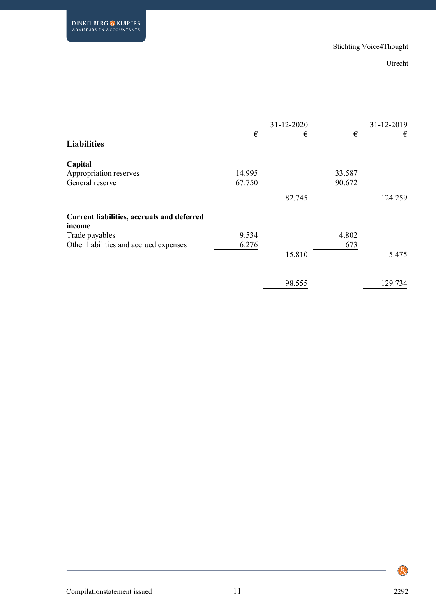|                                                             |        | 31-12-2020 |        | 31-12-2019 |
|-------------------------------------------------------------|--------|------------|--------|------------|
| <b>Liabilities</b>                                          | €      | €          | €      | €          |
| Capital                                                     |        |            |        |            |
| Appropriation reserves                                      | 14.995 |            | 33.587 |            |
| General reserve                                             | 67.750 |            | 90.672 |            |
|                                                             |        | 82.745     |        | 124.259    |
| <b>Current liabilities, accruals and deferred</b><br>income |        |            |        |            |
| Trade payables                                              | 9.534  |            | 4.802  |            |
| Other liabilities and accrued expenses                      | 6.276  |            | 673    |            |
|                                                             |        | 15.810     |        | 5.475      |
|                                                             |        | 98.555     |        | 129.734    |
|                                                             |        |            |        |            |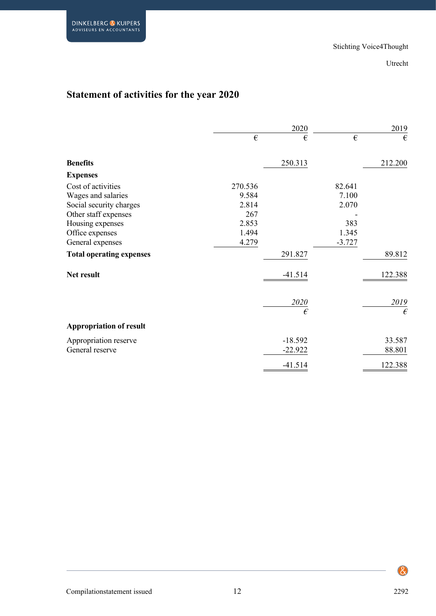# **Statement of activities for the year 2020**

|                                 | 2020       |           |            | 2019               |
|---------------------------------|------------|-----------|------------|--------------------|
|                                 | $\epsilon$ | €         | $\epsilon$ | €                  |
| <b>Benefits</b>                 |            | 250.313   |            | 212.200            |
| <b>Expenses</b>                 |            |           |            |                    |
| Cost of activities              | 270.536    |           | 82.641     |                    |
| Wages and salaries              | 9.584      |           | 7.100      |                    |
| Social security charges         | 2.814      |           | 2.070      |                    |
| Other staff expenses            | 267        |           |            |                    |
| Housing expenses                | 2.853      |           | 383        |                    |
| Office expenses                 | 1.494      |           | 1.345      |                    |
| General expenses                | 4.279      |           | $-3.727$   |                    |
| <b>Total operating expenses</b> |            | 291.827   |            | 89.812             |
| Net result                      |            | $-41.514$ |            | 122.388            |
|                                 |            | 2020<br>€ |            | 2019<br>$\epsilon$ |
| <b>Appropriation of result</b>  |            |           |            |                    |
| Appropriation reserve           |            | $-18.592$ |            | 33.587             |
| General reserve                 |            | $-22.922$ |            | 88.801             |
|                                 |            | $-41.514$ |            | 122.388            |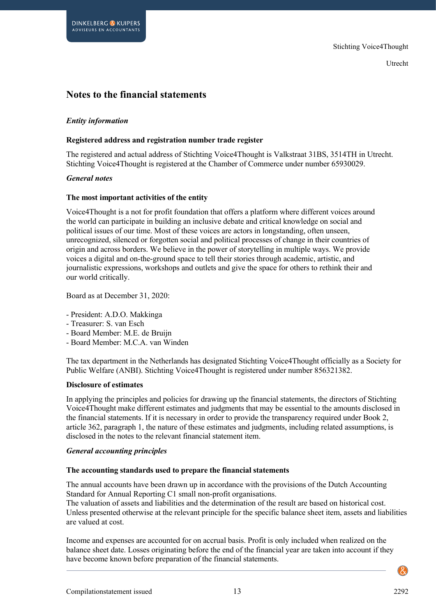## **Notes to the financial statements**

#### *Entity information*

#### **Registered address and registration number trade register**

The registered and actual address of Stichting Voice4Thought is Valkstraat 31BS, 3514TH in Utrecht. Stichting Voice4Thought is registered at the Chamber of Commerce under number 65930029.

#### *General notes*

#### **The most important activities of the entity**

Voice4Thought is a not for profit foundation that offers a platform where different voices around the world can participate in building an inclusive debate and critical knowledge on social and political issues of our time. Most of these voices are actors in longstanding, often unseen, unrecognized, silenced or forgotten social and political processes of change in their countries of origin and across borders. We believe in the power of storytelling in multiple ways. We provide voices a digital and on-the-ground space to tell their stories through academic, artistic, and journalistic expressions, workshops and outlets and give the space for others to rethink their and our world critically.

Board as at December 31, 2020:

- President: A.D.O. Makkinga
- Treasurer: S. van Esch
- Board Member: M.E. de Bruijn
- Board Member: M.C.A. van Winden

The tax department in the Netherlands has designated Stichting Voice4Thought officially as a Society for Public Welfare (ANBI). Stichting Voice4Thought is registered under number 856321382.

#### **Disclosure of estimates**

In applying the principles and policies for drawing up the financial statements, the directors of Stichting Voice4Thought make different estimates and judgments that may be essential to the amounts disclosed in the financial statements. If it is necessary in order to provide the transparency required under Book 2, article 362, paragraph 1, the nature of these estimates and judgments, including related assumptions, is disclosed in the notes to the relevant financial statement item.

#### *General accounting principles*

#### **The accounting standards used to prepare the financial statements**

The annual accounts have been drawn up in accordance with the provisions of the Dutch Accounting Standard for Annual Reporting C1 small non-profit organisations.

The valuation of assets and liabilities and the determination of the result are based on historical cost. Unless presented otherwise at the relevant principle for the specific balance sheet item, assets and liabilities are valued at cost.

Income and expenses are accounted for on accrual basis. Profit is only included when realized on the balance sheet date. Losses originating before the end of the financial year are taken into account if they have become known before preparation of the financial statements.

Compilationstatement issued 13 2292

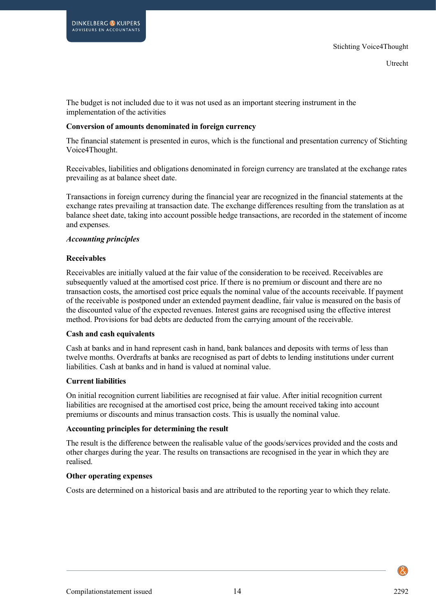The budget is not included due to it was not used as an important steering instrument in the implementation of the activities

#### **Conversion of amounts denominated in foreign currency**

The financial statement is presented in euros, which is the functional and presentation currency of Stichting Voice4Thought.

Receivables, liabilities and obligations denominated in foreign currency are translated at the exchange rates prevailing as at balance sheet date.

Transactions in foreign currency during the financial year are recognized in the financial statements at the exchange rates prevailing at transaction date. The exchange differences resulting from the translation as at balance sheet date, taking into account possible hedge transactions, are recorded in the statement of income and expenses.

#### *Accounting principles*

**DINKELBERG & KUIPERS** ADVISEURS EN ACCOUNTANTS

#### **Receivables**

Receivables are initially valued at the fair value of the consideration to be received. Receivables are subsequently valued at the amortised cost price. If there is no premium or discount and there are no transaction costs, the amortised cost price equals the nominal value of the accounts receivable. If payment of the receivable is postponed under an extended payment deadline, fair value is measured on the basis of the discounted value of the expected revenues. Interest gains are recognised using the effective interest method. Provisions for bad debts are deducted from the carrying amount of the receivable.

#### **Cash and cash equivalents**

Cash at banks and in hand represent cash in hand, bank balances and deposits with terms of less than twelve months. Overdrafts at banks are recognised as part of debts to lending institutions under current liabilities. Cash at banks and in hand is valued at nominal value.

#### **Current liabilities**

On initial recognition current liabilities are recognised at fair value. After initial recognition current liabilities are recognised at the amortised cost price, being the amount received taking into account premiums or discounts and minus transaction costs. This is usually the nominal value.

#### **Accounting principles for determining the result**

The result is the difference between the realisable value of the goods/services provided and the costs and other charges during the year. The results on transactions are recognised in the year in which they are realised.

#### **Other operating expenses**

Costs are determined on a historical basis and are attributed to the reporting year to which they relate.

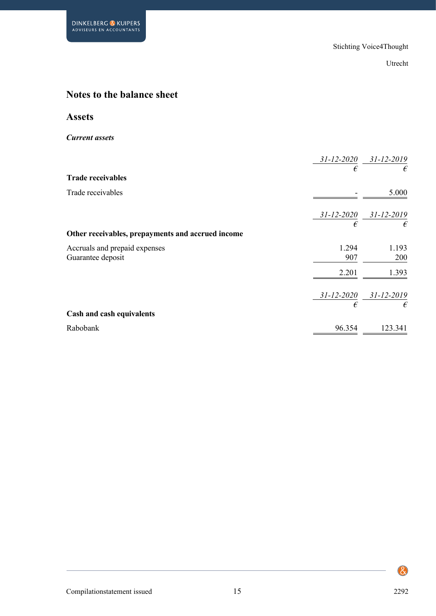# **Notes to the balance sheet**

## **Assets**

*Current assets*

|                                                   | $31 - 12 - 2020$ | $31 - 12 - 2019$ |
|---------------------------------------------------|------------------|------------------|
|                                                   | €                | €                |
| <b>Trade receivables</b>                          |                  |                  |
| Trade receivables                                 |                  | 5.000            |
|                                                   |                  |                  |
|                                                   | $31 - 12 - 2020$ | $31 - 12 - 2019$ |
|                                                   | €                | €                |
| Other receivables, prepayments and accrued income |                  |                  |
| Accruals and prepaid expenses                     | 1.294            | 1.193            |
| Guarantee deposit                                 | 907              | 200              |
|                                                   | 2.201            | 1.393            |
|                                                   | $31 - 12 - 2020$ | $31 - 12 - 2019$ |
|                                                   | €                | €                |
| Cash and cash equivalents                         |                  |                  |
| Rabobank                                          | 96.354           | 123.341          |
|                                                   |                  |                  |

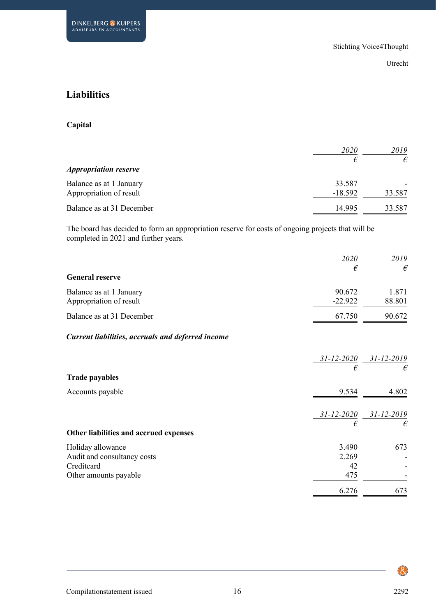# **Liabilities**

### **Capital**

|                              | <i>2020</i> | 2019   |
|------------------------------|-------------|--------|
|                              | €           | €      |
| <b>Appropriation reserve</b> |             |        |
| Balance as at 1 January      | 33.587      |        |
| Appropriation of result      | $-18.592$   | 33.587 |
| Balance as at 31 December    | 14.995      | 33.587 |

The board has decided to form an appropriation reserve for costs of ongoing projects that will be completed in 2021 and further years.

|                                                   | 2020             | 2019             |
|---------------------------------------------------|------------------|------------------|
|                                                   | €                | €                |
| <b>General reserve</b>                            |                  |                  |
| Balance as at 1 January                           | 90.672           | 1.871            |
| Appropriation of result                           | $-22.922$        | 88.801           |
| Balance as at 31 December                         | 67.750           | 90.672           |
| Current liabilities, accruals and deferred income |                  |                  |
|                                                   | $31 - 12 - 2020$ | $31 - 12 - 2019$ |
| <b>Trade payables</b>                             | €                | €                |
|                                                   |                  |                  |
| Accounts payable                                  | 9.534            | 4.802            |
|                                                   | $31 - 12 - 2020$ | $31 - 12 - 2019$ |
|                                                   | €                | €                |
| Other liabilities and accrued expenses            |                  |                  |
| Holiday allowance                                 | 3.490            | 673              |
| Audit and consultancy costs                       | 2.269            |                  |
| Creditcard                                        | 42               |                  |
| Other amounts payable                             | 475              |                  |
|                                                   | 6.276            | 673              |

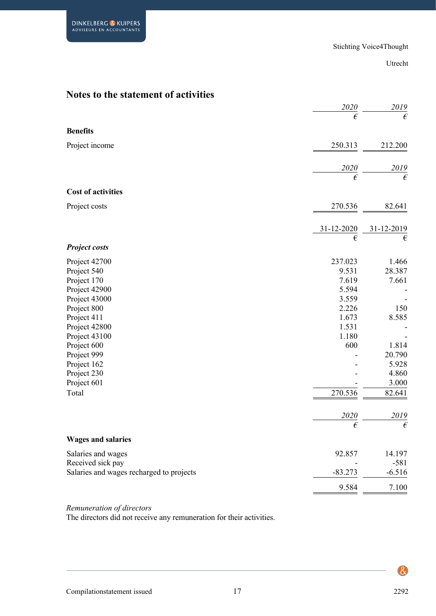# **Notes to the statement of activities**

|                                          | 2020               | 2019               |
|------------------------------------------|--------------------|--------------------|
|                                          | $\epsilon$         | $\epsilon$         |
| <b>Benefits</b>                          |                    |                    |
| Project income                           | 250.313            | 212.200            |
|                                          |                    |                    |
|                                          | 2020<br>$\epsilon$ | 2019<br>$\epsilon$ |
| <b>Cost of activities</b>                |                    |                    |
|                                          |                    |                    |
| Project costs                            | 270.536            | 82.641             |
|                                          | 31-12-2020         | 31-12-2019         |
|                                          | €                  | €                  |
| <b>Project costs</b>                     |                    |                    |
| Project 42700                            | 237.023            | 1.466              |
| Project 540                              | 9.531              | 28.387             |
| Project 170                              | 7.619              | 7.661              |
| Project 42900                            | 5.594              |                    |
| Project 43000                            | 3.559              |                    |
| Project 800                              | 2.226              | 150                |
| Project 411                              | 1.673              | 8.585              |
| Project 42800                            | 1.531              |                    |
| Project 43100                            | 1.180              |                    |
| Project 600                              | 600                | 1.814              |
| Project 999                              |                    | 20.790             |
| Project 162                              |                    | 5.928              |
| Project 230                              |                    | 4.860              |
| Project 601                              |                    | 3.000              |
| Total                                    | 270.536            | 82.641             |
|                                          | 2020               | 2019               |
|                                          | $\epsilon$         | $\epsilon$         |
| <b>Wages and salaries</b>                |                    |                    |
| Salaries and wages                       | 92.857             | 14.197             |
| Received sick pay                        |                    | $-581$             |
| Salaries and wages recharged to projects | $-83.273$          | $-6.516$           |
|                                          | 9.584              | 7.100              |

#### *Remuneration of directors*

The directors did not receive any remuneration for their activities.



 $\bigcircled{\mathcal{E}}$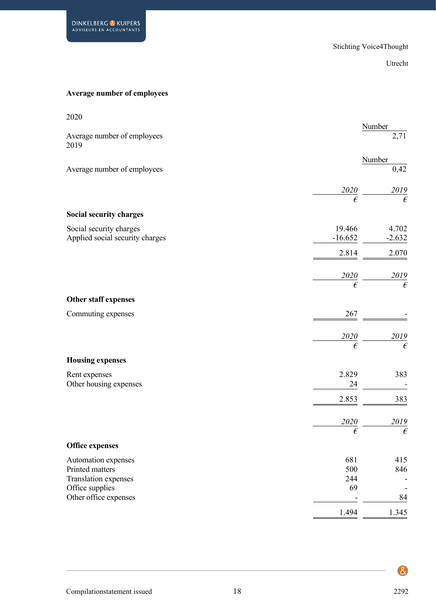## **Average number of employees**

| 2020                                    |                           |                         |
|-----------------------------------------|---------------------------|-------------------------|
| Average number of employees<br>2019     |                           | Number<br>2,71          |
|                                         |                           | Number                  |
| Average number of employees             |                           | 0,42                    |
|                                         | $\frac{2020}{\epsilon}$   | $\frac{2019}{\epsilon}$ |
|                                         |                           |                         |
| Social security charges                 |                           |                         |
| Social security charges                 | 19.466                    | 4.702                   |
| Applied social security charges         | $-16.652$                 | $-2.632$                |
|                                         | 2.814                     | 2.070                   |
|                                         | $\frac{2020}{\epsilon}$ — | $\frac{2019}{\epsilon}$ |
|                                         |                           |                         |
| Other staff expenses                    |                           |                         |
| Commuting expenses                      | $267\,$                   |                         |
|                                         | $\frac{2020}{\epsilon}$   |                         |
|                                         |                           | $\frac{2019}{\epsilon}$ |
| <b>Housing expenses</b>                 |                           |                         |
| Rent expenses                           | 2.829                     | 383                     |
| Other housing expenses                  | 24                        | $\overline{a}$          |
|                                         | 2.853                     | 383                     |
|                                         | 2020                      | $\frac{2019}{\epsilon}$ |
|                                         | $\epsilon$                |                         |
| <b>Office expenses</b>                  |                           |                         |
| Automation expenses                     | 681                       | 415                     |
| Printed matters                         | 500                       | 846                     |
| Translation expenses<br>Office supplies | 244<br>69                 |                         |
| Other office expenses                   |                           | 84                      |
|                                         | 1.494                     | 1.345                   |